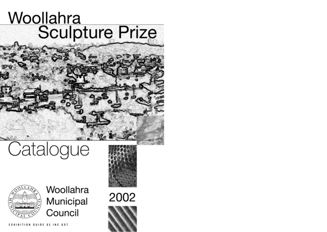## Woollahra<br>Sculpture Prize

### Catalogue



Woollahra Municipal Council





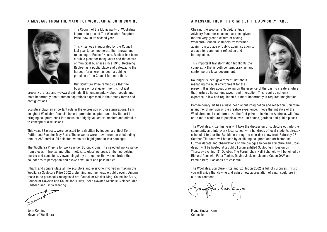### **A MESSAGE FROM THE MAYOR OF WOOLLAHRA, JOHN COMINO**



The Council of the Municipality of Woollahra is proud to present The Woollahra Sculpture Prize, now in its second year.

This Prize was inaugurated by the Council last year to commemorate the renewal and reopening of Redleaf House. Redleaf has been a public place for many years and the centre of municipal business since 1948. Retaining Redleaf as a public place and gateway to the harbour foreshore has been a guiding principle of the Council for some time.

Our Sculpture Prize reminds us that the business of local government is not just

property , refuse and wayward animals. It is fundamentally about people and most importantly about human aspirations expressed in their many forms and configurations.

Sculpture plays an important role in the expression of those aspirations. I am delighted Woollahra Council chose to promote sculpture and play its part in bringing sculpture back into focus as a highly valued art medium and stimulus to conceptual discussions.

This year, 32 pieces, were selected for exhibition by judges, architect Keith Cottier and Sculptor May Barry. These works were drawn from an outstanding total of 253 entries. All selected works are highlighted in this catalogue.

The Woollahra Prize is for works under 80 cubic cms. The selected works range from pieces in bronze and other metals, to glass, perspex, timber, porcelain, marble and sandstone. Viewed singularly or together the works stretch the boundaries of perception and evoke new limits and possibilities.

I thank and congratulate all the sculptors and everyone involved in making the Woollahra Sculpture Prize 2002 a stunning and memorable public event. Among those to be personally recognised are Councillor Sinclair King, Councillor Berry, Councillor Dawson and Councillor Huxley, Stella Downer, Michelle Bleicher, Marj Gadsden and Linda Mearing.

John Comino Mayor of Woollahra

### **A MESSAGE FROM THE CHAIR OF THE ADVISORY PANEL**

Chairing the Woollahra Sculpture Prize Advisory Panel for a second year has given me the very great pleasure of seeing Woollahra Council Chambers transformed again from a place of public administration to a place for community reflection and introspection.

This important transformation highlights the complexity that is both contemporary art and contemporary local government.

No longer is local government just about managing the built environment for the



present. It is also about drawing on the essence of the past to create a future that nurtures human endeavour and interaction. This requires not only expertise in law and regulation but more importantly, it requires imagination.

Contemporary art has always been about imagination and reflection. Sculpture is another dimension of the creative experience. I hope the initiative of the Woollahra small sculpture prize, the first prize of its kind in Australia, will flow on to more sculpture in people's lives - in homes, gardens and public places.

The Woollahra Prize this year will take the discussion of sculpture out into the community and into every local school with hundreds of local students already scheduled to tour the Exhibition during the nine-day show from Saturday 26 October. The tours will be lead by exhibiting sculptors and art historians. Further debate and observations on the dialogue between sculpture and urban design will be hosted at a public Forum entitled Sculpting in Design on Thursday evening, 31 October. The Forum chair Nell Schofield will be joined by Richard Goodwin, Peter Tonkin, Davina Jackson, Joanna Capon OAM and Pamille Berg. Bookings are essential.

The Woollahra Sculpture Prize and Exhibition 2002 is full of surprises. I trust you will enjoy the viewing and gain a new appreciation of small sculpture in our environment.

Fiona Sinclair King Councillor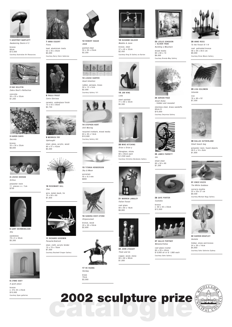

**1** GEOFFREY BARTLETT Awakening Desire # 3 bronze 80cm \$12,000 Courtesy Australian Art Resources



**2** RAE BOLOTIN Zebra Skull's Reflection

concrete 30 x 25 x 55cm \$1,200



**3** KAREN DAVIS Secrete

bronze 35 x 30 x 25cm \$6,600



**4** LOUISE DEEHAN Orifice polyester resin 11 pieces x c. 7cm \$700



**5** GARY DEIRMENDJIAN She

sandstone 79 x 5 x 30cm \$5,300

**6** LYNNE EDEY A quiet place

bronze c: 27x 25 x 25cm \$10,000 Courtesy Span galleries



**7** ANNA EGGERT Fiona lead, aluminium rivets 52 x 35 x 35cm \$4,000 Courtesy Barry Stern Galleries



**8** PAULA FROST Canis Gloriosa

ceramic, underglaze finish 73 x 55 x 30cm \$2,750



**9** MERRICK FRY Updraught

steel, glass, acrylic, wood 80 x 51 x 43cm \$5,000



**10** ROSEMARY GILL Chel wire, metal mesh, tin 70 x 60 x 60

\$1,650



**11** RICHARD GOODWIN Parasite/Android steel, cloth, acrylic binder



70 x 70 x 78cm \$7,000 Courtesy Boutwell Draper Gallery



**12** ROBERT HAGUE ANIM painted steel 55 x 30 x 25cm \$2,200



**13** LOUISE HARPER Good Intention

rubber, perspex, brass Courtesy Gallery 101

50 x 12 x 5cm \$2,000











**14** STEPHEN HART Still Moving recycled ironbark, mixed media 63 x 45 x 14cm \$10,000 Courtesy Gallery 482



**15** TITANIA HENDERSON









**16** SANDRA HOEY-STONE Shipwrecked bronze, wood 20 x 30 x 50cm \$2,600



**17** HE HUANG Holiday brass 70cm \$3,000

**18** SUZANNE KALDOR Maddie & Josie bronze, steel 37 x 45 x 32cm

\$2,450 Courtesy King St Gallery on Burton



**19** JAN KING Leda steel-painted 71 x 60 x 32cm

\$5,500

**20** MIKE KITCHING Orion x Orion y fibreglass, sticks 80 x 20cm each \$ 5,500 each Courtesy Christine Abrahams Gallery



**21** WARREN LANGLEY Fallen Forest

cast glass 80 x 60 x 18cm \$8,800





### **22** JOHN LYSAGHT

Them and Us

copper, wood, stone 80 x 80 x 80cm \$1,000

**23** LESLIE SOKQUON + OLIVER TRAN Building a Mountain mixed media 80 x 80 x 10 \$6,000 Courtesy Brenda May Gallery



**24** ADRIAN PAGE Small Dome - hidden and revealed

stainless steel, brass sandoffs 80cm D \$10,000 Courtesy Smyrnios Gallery



**25** JAMES PARRETT Um

sheet steel 80 x 50 x 60 \$1,200



**26** GAYE PORTER Custodia bronze c: 60 x 40 x 30cm \$12,000



**27** SALLIE PORTNOY Metamorfishes

cast glass crystal 80 x 20 x 45cm \$ 9,900 all or \$ 1,980 each

Courtesy Soho Gallery

\$4,950



**28** ANNE ROSS To the Forest III 1/4 cast patinated bronze 48 x 39 x 39.5 cm \$9,000 Courtesy Brian Moore Gallery



**29** LISA SOLOMON Intoside iron 76 x 48 x 52 \$7,500



**30** DALLAS SUTHERLAND Small beach bag

polyester resin, found objects 49.5 x 16 x 8cm \$1,600



**31** VINCE VOZZO The White Goddess carrarra marble 33 x 22x 27 cm \$9,500 Courtesy Michael Nagy Gallery



**32** DARREN WHATLEY Gestate timber, stone and bronze 54 x 39 x 14cm

Courtesy Soho Galleries Sydney

# **catalogue 2002 sculpture prize**